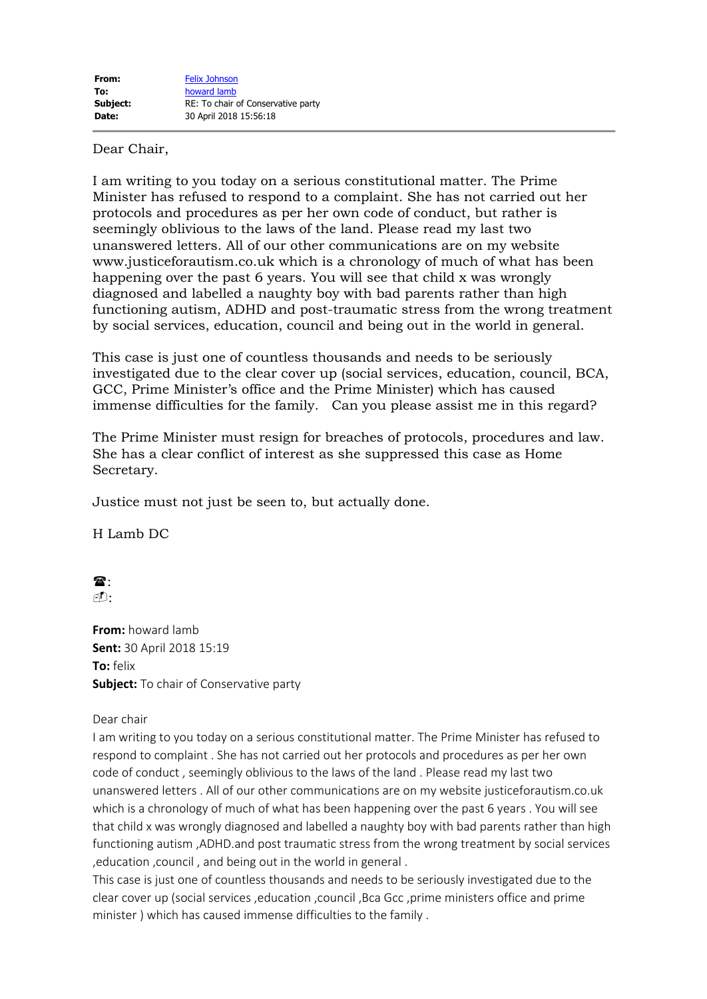## Dear Chair,

I am writing to you today on a serious constitutional matter. The Prime Minister has refused to respond to a complaint. She has not carried out her protocols and procedures as per her own code of conduct, but rather is seemingly oblivious to the laws of the land. Please read my last two unanswered letters. All of our other communications are on my website www.justiceforautism.co.uk which is a chronology of much of what has been happening over the past 6 years. You will see that child x was wrongly diagnosed and labelled a naughty boy with bad parents rather than high functioning autism, ADHD and post-traumatic stress from the wrong treatment by social services, education, council and being out in the world in general.

This case is just one of countless thousands and needs to be seriously investigated due to the clear cover up (social services, education, council, BCA, GCC, Prime Minister's office and the Prime Minister) which has caused immense difficulties for the family. Can you please assist me in this regard?

The Prime Minister must resign for breaches of protocols, procedures and law. She has a clear conflict of interest as she suppressed this case as Home Secretary.

Justice must not just be seen to, but actually done.

H Lamb DC

 $\mathbf{\widehat{a}}$  :

 $\cap$ 

**From:** howard lamb **Sent:** 30 April 2018 15:19 **To:** felix **Subject:** To chair of Conservative party

Dear chair

I am writing to you today on a serious constitutional matter. The Prime Minister has refused to respond to complaint . She has not carried out her protocols and procedures as per her own code of conduct , seemingly oblivious to the laws of the land . Please read my last two unanswered letters . All of our other communications are on my website justiceforautism.co.uk which is a chronology of much of what has been happening over the past 6 years . You will see that child x was wrongly diagnosed and labelled a naughty boy with bad parents rather than high functioning autism ,ADHD.and post traumatic stress from the wrong treatment by social services ,education ,council , and being out in the world in general .

This case is just one of countless thousands and needs to be seriously investigated due to the clear cover up (social services ,education ,council ,Bca Gcc ,prime ministers office and prime minister ) which has caused immense difficulties to the family .